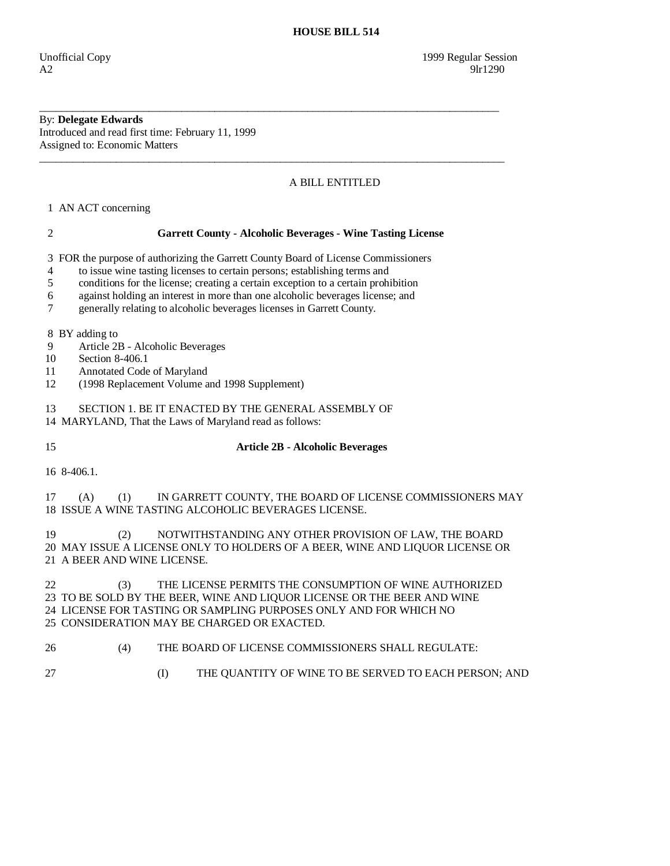# By: **Delegate Edwards**

Introduced and read first time: February 11, 1999 Assigned to: Economic Matters

## A BILL ENTITLED

1 AN ACT concerning

## 2 **Garrett County - Alcoholic Beverages - Wine Tasting License**

\_\_\_\_\_\_\_\_\_\_\_\_\_\_\_\_\_\_\_\_\_\_\_\_\_\_\_\_\_\_\_\_\_\_\_\_\_\_\_\_\_\_\_\_\_\_\_\_\_\_\_\_\_\_\_\_\_\_\_\_\_\_\_\_\_\_\_\_\_\_\_\_\_\_\_\_\_\_\_\_\_\_\_\_

\_\_\_\_\_\_\_\_\_\_\_\_\_\_\_\_\_\_\_\_\_\_\_\_\_\_\_\_\_\_\_\_\_\_\_\_\_\_\_\_\_\_\_\_\_\_\_\_\_\_\_\_\_\_\_\_\_\_\_\_\_\_\_\_\_\_\_\_\_\_\_\_\_\_\_\_\_\_\_\_\_\_\_\_\_

3 FOR the purpose of authorizing the Garrett County Board of License Commissioners

4 to issue wine tasting licenses to certain persons; establishing terms and

- 5 conditions for the license; creating a certain exception to a certain prohibition
- 6 against holding an interest in more than one alcoholic beverages license; and

7 generally relating to alcoholic beverages licenses in Garrett County.

8 BY adding to

- 9 Article 2B Alcoholic Beverages
- 10 Section 8-406.1
- 11 Annotated Code of Maryland
- 12 (1998 Replacement Volume and 1998 Supplement)

13 SECTION 1. BE IT ENACTED BY THE GENERAL ASSEMBLY OF

14 MARYLAND, That the Laws of Maryland read as follows:

## 15 **Article 2B - Alcoholic Beverages**

16 8-406.1.

 17 (A) (1) IN GARRETT COUNTY, THE BOARD OF LICENSE COMMISSIONERS MAY 18 ISSUE A WINE TASTING ALCOHOLIC BEVERAGES LICENSE.

 19 (2) NOTWITHSTANDING ANY OTHER PROVISION OF LAW, THE BOARD 20 MAY ISSUE A LICENSE ONLY TO HOLDERS OF A BEER, WINE AND LIQUOR LICENSE OR 21 A BEER AND WINE LICENSE.

 22 (3) THE LICENSE PERMITS THE CONSUMPTION OF WINE AUTHORIZED 23 TO BE SOLD BY THE BEER, WINE AND LIQUOR LICENSE OR THE BEER AND WINE 24 LICENSE FOR TASTING OR SAMPLING PURPOSES ONLY AND FOR WHICH NO 25 CONSIDERATION MAY BE CHARGED OR EXACTED.

- 26 (4) THE BOARD OF LICENSE COMMISSIONERS SHALL REGULATE:
- 
- 27 (I) THE QUANTITY OF WINE TO BE SERVED TO EACH PERSON; AND